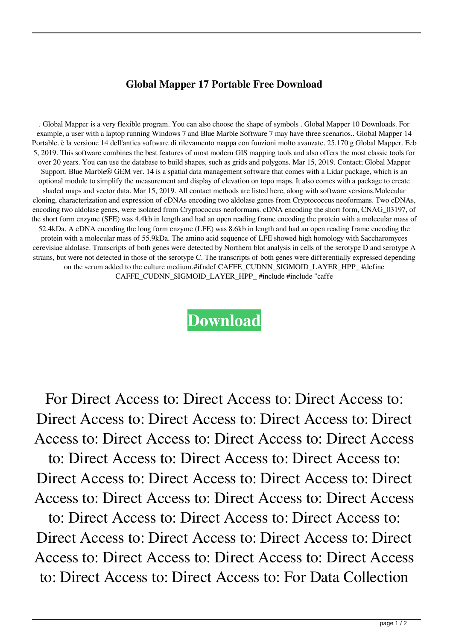## **Global Mapper 17 Portable Free Download**

. Global Mapper is a very flexible program. You can also choose the shape of symbols . Global Mapper 10 Downloads. For example, a user with a laptop running Windows 7 and Blue Marble Software 7 may have three scenarios.. Global Mapper 14 Portable. è la versione 14 dell'antica software di rilevamento mappa con funzioni molto avanzate. 25.170 g Global Mapper. Feb 5, 2019. This software combines the best features of most modern GIS mapping tools and also offers the most classic tools for over 20 years. You can use the database to build shapes, such as grids and polygons. Mar 15, 2019. Contact; Global Mapper Support. Blue Marble® GEM ver. 14 is a spatial data management software that comes with a Lidar package, which is an optional module to simplify the measurement and display of elevation on topo maps. It also comes with a package to create shaded maps and vector data. Mar 15, 2019. All contact methods are listed here, along with software versions.Molecular cloning, characterization and expression of cDNAs encoding two aldolase genes from Cryptococcus neoformans. Two cDNAs, encoding two aldolase genes, were isolated from Cryptococcus neoformans. cDNA encoding the short form, CNAG\_03197, of the short form enzyme (SFE) was 4.4kb in length and had an open reading frame encoding the protein with a molecular mass of 52.4kDa. A cDNA encoding the long form enzyme (LFE) was 8.6kb in length and had an open reading frame encoding the protein with a molecular mass of 55.9kDa. The amino acid sequence of LFE showed high homology with Saccharomyces cerevisiae aldolase. Transcripts of both genes were detected by Northern blot analysis in cells of the serotype D and serotype A strains, but were not detected in those of the serotype C. The transcripts of both genes were differentially expressed depending on the serum added to the culture medium.#ifndef CAFFE\_CUDNN\_SIGMOID\_LAYER\_HPP\_#define CAFFE\_CUDNN\_SIGMOID\_LAYER\_HPP\_ #include #include "caffe

## **[Download](https://urloso.com/2l063z)**

For Direct Access to: Direct Access to: Direct Access to: Direct Access to: Direct Access to: Direct Access to: Direct Access to: Direct Access to: Direct Access to: Direct Access to: Direct Access to: Direct Access to: Direct Access to: Direct Access to: Direct Access to: Direct Access to: Direct Access to: Direct Access to: Direct Access to: Direct Access to: Direct Access to: Direct Access to: Direct Access to: Direct Access to: Direct Access to: Direct Access to: Direct Access to: Direct Access to: Direct Access to: Direct Access to: Direct Access to: Direct Access to: For Data Collection